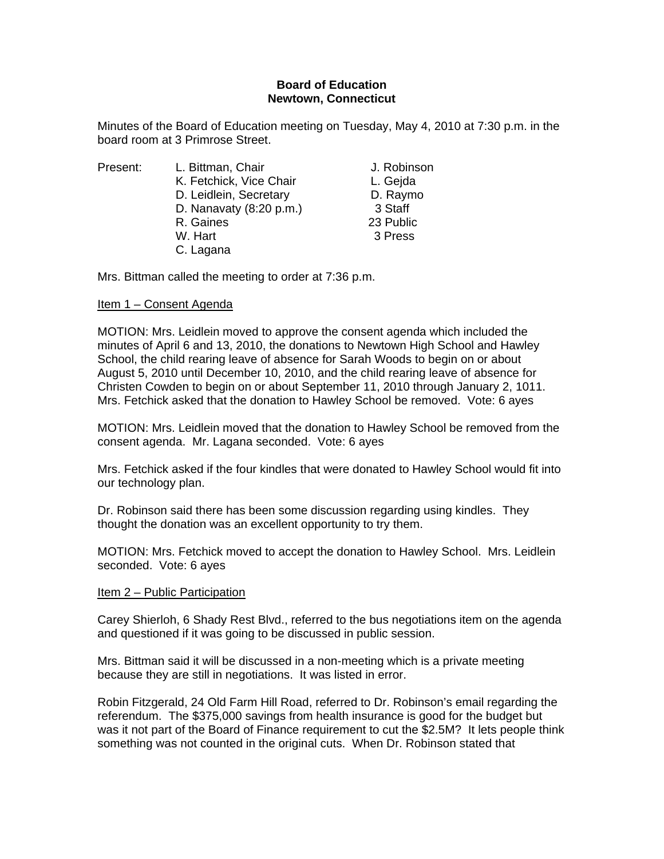# **Board of Education Newtown, Connecticut**

Minutes of the Board of Education meeting on Tuesday, May 4, 2010 at 7:30 p.m. in the board room at 3 Primrose Street.

| Present: | L. Bittman, Chair       | J. Robinson |
|----------|-------------------------|-------------|
|          | K. Fetchick, Vice Chair | L. Gejda    |
|          | D. Leidlein, Secretary  | D. Raymo    |
|          | D. Nanavaty (8:20 p.m.) | 3 Staff     |
|          | R. Gaines               | 23 Public   |
|          | W. Hart                 | 3 Press     |
|          | C. Lagana               |             |

Mrs. Bittman called the meeting to order at 7:36 p.m.

# Item 1 – Consent Agenda

MOTION: Mrs. Leidlein moved to approve the consent agenda which included the minutes of April 6 and 13, 2010, the donations to Newtown High School and Hawley School, the child rearing leave of absence for Sarah Woods to begin on or about August 5, 2010 until December 10, 2010, and the child rearing leave of absence for Christen Cowden to begin on or about September 11, 2010 through January 2, 1011. Mrs. Fetchick asked that the donation to Hawley School be removed. Vote: 6 ayes

MOTION: Mrs. Leidlein moved that the donation to Hawley School be removed from the consent agenda. Mr. Lagana seconded. Vote: 6 ayes

Mrs. Fetchick asked if the four kindles that were donated to Hawley School would fit into our technology plan.

Dr. Robinson said there has been some discussion regarding using kindles. They thought the donation was an excellent opportunity to try them.

MOTION: Mrs. Fetchick moved to accept the donation to Hawley School. Mrs. Leidlein seconded. Vote: 6 ayes

## Item 2 – Public Participation

Carey Shierloh, 6 Shady Rest Blvd., referred to the bus negotiations item on the agenda and questioned if it was going to be discussed in public session.

Mrs. Bittman said it will be discussed in a non-meeting which is a private meeting because they are still in negotiations. It was listed in error.

Robin Fitzgerald, 24 Old Farm Hill Road, referred to Dr. Robinson's email regarding the referendum. The \$375,000 savings from health insurance is good for the budget but was it not part of the Board of Finance requirement to cut the \$2.5M? It lets people think something was not counted in the original cuts. When Dr. Robinson stated that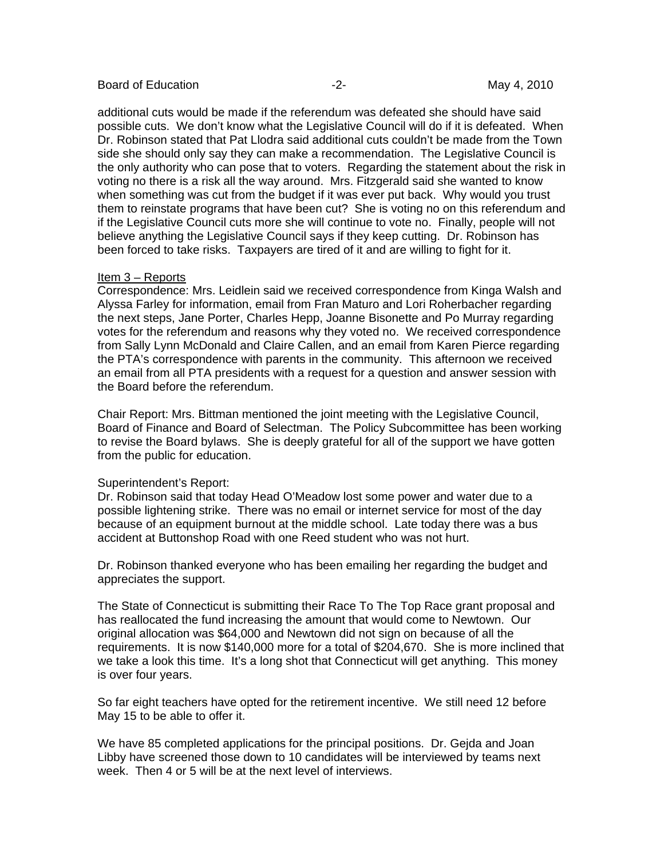#### Board of Education **-2-** All the second of Education **-2-** All the May 4, 2010

additional cuts would be made if the referendum was defeated she should have said possible cuts. We don't know what the Legislative Council will do if it is defeated. When Dr. Robinson stated that Pat Llodra said additional cuts couldn't be made from the Town side she should only say they can make a recommendation. The Legislative Council is the only authority who can pose that to voters. Regarding the statement about the risk in voting no there is a risk all the way around. Mrs. Fitzgerald said she wanted to know when something was cut from the budget if it was ever put back. Why would you trust them to reinstate programs that have been cut? She is voting no on this referendum and if the Legislative Council cuts more she will continue to vote no. Finally, people will not believe anything the Legislative Council says if they keep cutting. Dr. Robinson has been forced to take risks. Taxpayers are tired of it and are willing to fight for it.

# Item 3 – Reports

Correspondence: Mrs. Leidlein said we received correspondence from Kinga Walsh and Alyssa Farley for information, email from Fran Maturo and Lori Roherbacher regarding the next steps, Jane Porter, Charles Hepp, Joanne Bisonette and Po Murray regarding votes for the referendum and reasons why they voted no. We received correspondence from Sally Lynn McDonald and Claire Callen, and an email from Karen Pierce regarding the PTA's correspondence with parents in the community. This afternoon we received an email from all PTA presidents with a request for a question and answer session with the Board before the referendum.

Chair Report: Mrs. Bittman mentioned the joint meeting with the Legislative Council, Board of Finance and Board of Selectman. The Policy Subcommittee has been working to revise the Board bylaws. She is deeply grateful for all of the support we have gotten from the public for education.

## Superintendent's Report:

Dr. Robinson said that today Head O'Meadow lost some power and water due to a possible lightening strike. There was no email or internet service for most of the day because of an equipment burnout at the middle school. Late today there was a bus accident at Buttonshop Road with one Reed student who was not hurt.

Dr. Robinson thanked everyone who has been emailing her regarding the budget and appreciates the support.

The State of Connecticut is submitting their Race To The Top Race grant proposal and has reallocated the fund increasing the amount that would come to Newtown. Our original allocation was \$64,000 and Newtown did not sign on because of all the requirements. It is now \$140,000 more for a total of \$204,670. She is more inclined that we take a look this time. It's a long shot that Connecticut will get anything. This money is over four years.

So far eight teachers have opted for the retirement incentive. We still need 12 before May 15 to be able to offer it.

We have 85 completed applications for the principal positions. Dr. Gejda and Joan Libby have screened those down to 10 candidates will be interviewed by teams next week. Then 4 or 5 will be at the next level of interviews.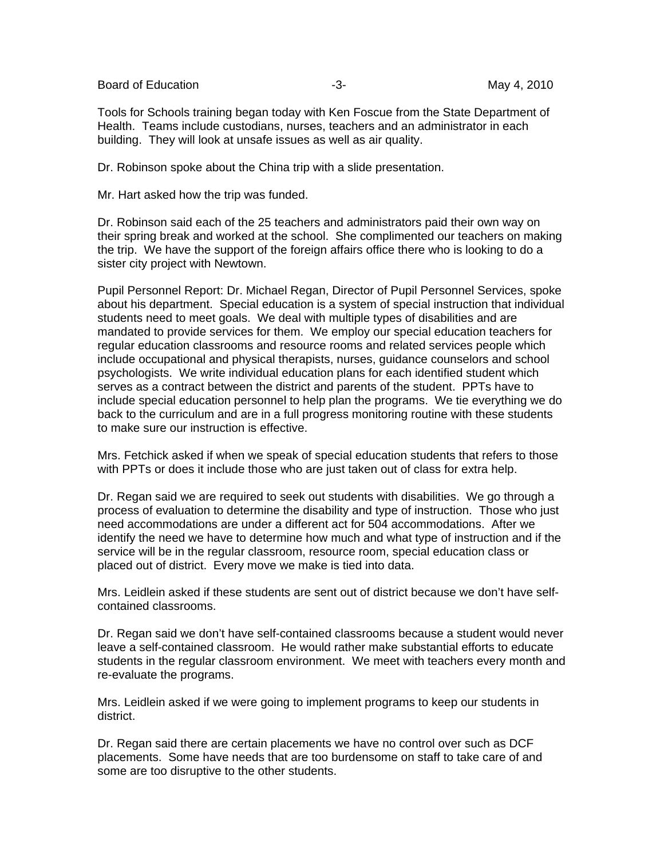Board of Education **-2-** Figure 2010 **May 4, 2010** 

Tools for Schools training began today with Ken Foscue from the State Department of Health. Teams include custodians, nurses, teachers and an administrator in each building. They will look at unsafe issues as well as air quality.

Dr. Robinson spoke about the China trip with a slide presentation.

Mr. Hart asked how the trip was funded.

Dr. Robinson said each of the 25 teachers and administrators paid their own way on their spring break and worked at the school. She complimented our teachers on making the trip. We have the support of the foreign affairs office there who is looking to do a sister city project with Newtown.

Pupil Personnel Report: Dr. Michael Regan, Director of Pupil Personnel Services, spoke about his department. Special education is a system of special instruction that individual students need to meet goals. We deal with multiple types of disabilities and are mandated to provide services for them. We employ our special education teachers for regular education classrooms and resource rooms and related services people which include occupational and physical therapists, nurses, guidance counselors and school psychologists. We write individual education plans for each identified student which serves as a contract between the district and parents of the student. PPTs have to include special education personnel to help plan the programs. We tie everything we do back to the curriculum and are in a full progress monitoring routine with these students to make sure our instruction is effective.

Mrs. Fetchick asked if when we speak of special education students that refers to those with PPTs or does it include those who are just taken out of class for extra help.

Dr. Regan said we are required to seek out students with disabilities. We go through a process of evaluation to determine the disability and type of instruction. Those who just need accommodations are under a different act for 504 accommodations. After we identify the need we have to determine how much and what type of instruction and if the service will be in the regular classroom, resource room, special education class or placed out of district. Every move we make is tied into data.

Mrs. Leidlein asked if these students are sent out of district because we don't have selfcontained classrooms.

Dr. Regan said we don't have self-contained classrooms because a student would never leave a self-contained classroom. He would rather make substantial efforts to educate students in the regular classroom environment. We meet with teachers every month and re-evaluate the programs.

Mrs. Leidlein asked if we were going to implement programs to keep our students in district.

Dr. Regan said there are certain placements we have no control over such as DCF placements. Some have needs that are too burdensome on staff to take care of and some are too disruptive to the other students.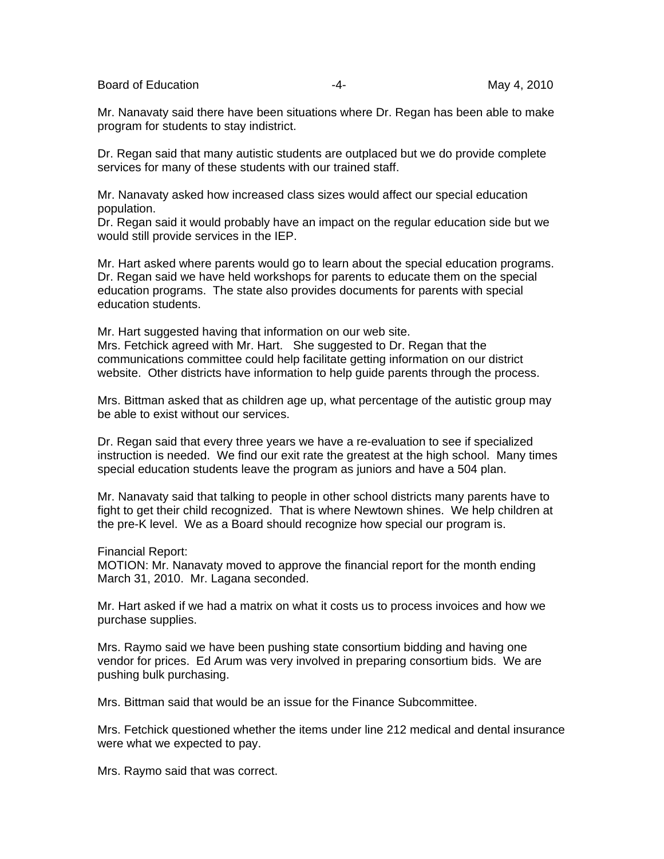Board of Education **-4-** Alternative Control of Education **May 4**, 2010

Mr. Nanavaty said there have been situations where Dr. Regan has been able to make program for students to stay indistrict.

Dr. Regan said that many autistic students are outplaced but we do provide complete services for many of these students with our trained staff.

Mr. Nanavaty asked how increased class sizes would affect our special education population.

Dr. Regan said it would probably have an impact on the regular education side but we would still provide services in the IEP.

Mr. Hart asked where parents would go to learn about the special education programs. Dr. Regan said we have held workshops for parents to educate them on the special education programs. The state also provides documents for parents with special education students.

Mr. Hart suggested having that information on our web site. Mrs. Fetchick agreed with Mr. Hart. She suggested to Dr. Regan that the communications committee could help facilitate getting information on our district website. Other districts have information to help guide parents through the process.

Mrs. Bittman asked that as children age up, what percentage of the autistic group may be able to exist without our services.

Dr. Regan said that every three years we have a re-evaluation to see if specialized instruction is needed. We find our exit rate the greatest at the high school. Many times special education students leave the program as juniors and have a 504 plan.

Mr. Nanavaty said that talking to people in other school districts many parents have to fight to get their child recognized. That is where Newtown shines. We help children at the pre-K level. We as a Board should recognize how special our program is.

Financial Report:

MOTION: Mr. Nanavaty moved to approve the financial report for the month ending March 31, 2010. Mr. Lagana seconded.

Mr. Hart asked if we had a matrix on what it costs us to process invoices and how we purchase supplies.

Mrs. Raymo said we have been pushing state consortium bidding and having one vendor for prices. Ed Arum was very involved in preparing consortium bids. We are pushing bulk purchasing.

Mrs. Bittman said that would be an issue for the Finance Subcommittee.

Mrs. Fetchick questioned whether the items under line 212 medical and dental insurance were what we expected to pay.

Mrs. Raymo said that was correct.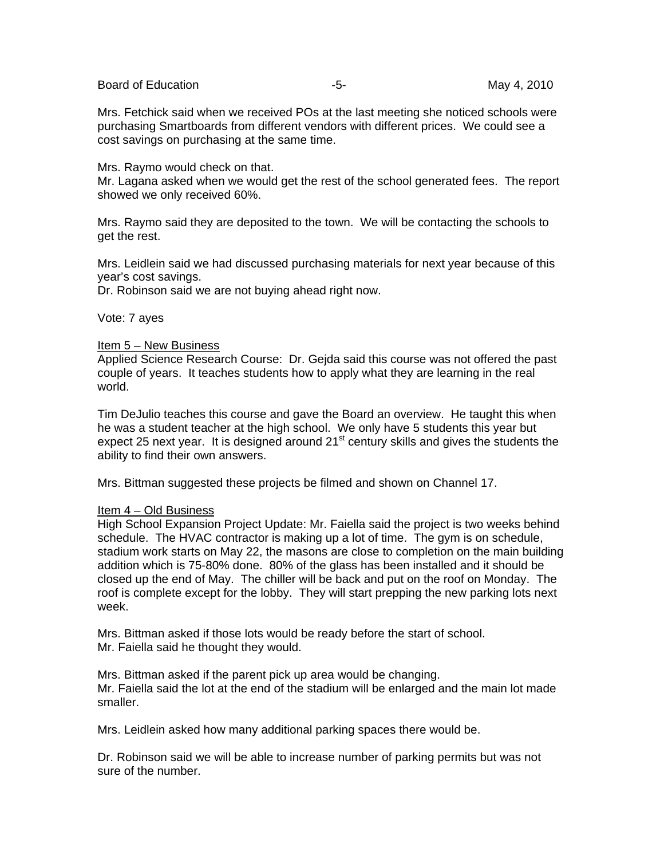Board of Education **-5-** F- The Second May 4, 2010

Mrs. Fetchick said when we received POs at the last meeting she noticed schools were purchasing Smartboards from different vendors with different prices. We could see a cost savings on purchasing at the same time.

Mrs. Raymo would check on that.

Mr. Lagana asked when we would get the rest of the school generated fees. The report showed we only received 60%.

Mrs. Raymo said they are deposited to the town. We will be contacting the schools to get the rest.

Mrs. Leidlein said we had discussed purchasing materials for next year because of this year's cost savings.

Dr. Robinson said we are not buying ahead right now.

Vote: 7 ayes

## Item 5 – New Business

Applied Science Research Course: Dr. Gejda said this course was not offered the past couple of years. It teaches students how to apply what they are learning in the real world.

Tim DeJulio teaches this course and gave the Board an overview. He taught this when he was a student teacher at the high school. We only have 5 students this year but expect 25 next year. It is designed around  $21<sup>st</sup>$  century skills and gives the students the ability to find their own answers.

Mrs. Bittman suggested these projects be filmed and shown on Channel 17.

## Item 4 – Old Business

High School Expansion Project Update: Mr. Faiella said the project is two weeks behind schedule. The HVAC contractor is making up a lot of time. The gym is on schedule, stadium work starts on May 22, the masons are close to completion on the main building addition which is 75-80% done. 80% of the glass has been installed and it should be closed up the end of May. The chiller will be back and put on the roof on Monday. The roof is complete except for the lobby. They will start prepping the new parking lots next week.

Mrs. Bittman asked if those lots would be ready before the start of school. Mr. Faiella said he thought they would.

Mrs. Bittman asked if the parent pick up area would be changing. Mr. Faiella said the lot at the end of the stadium will be enlarged and the main lot made smaller.

Mrs. Leidlein asked how many additional parking spaces there would be.

Dr. Robinson said we will be able to increase number of parking permits but was not sure of the number.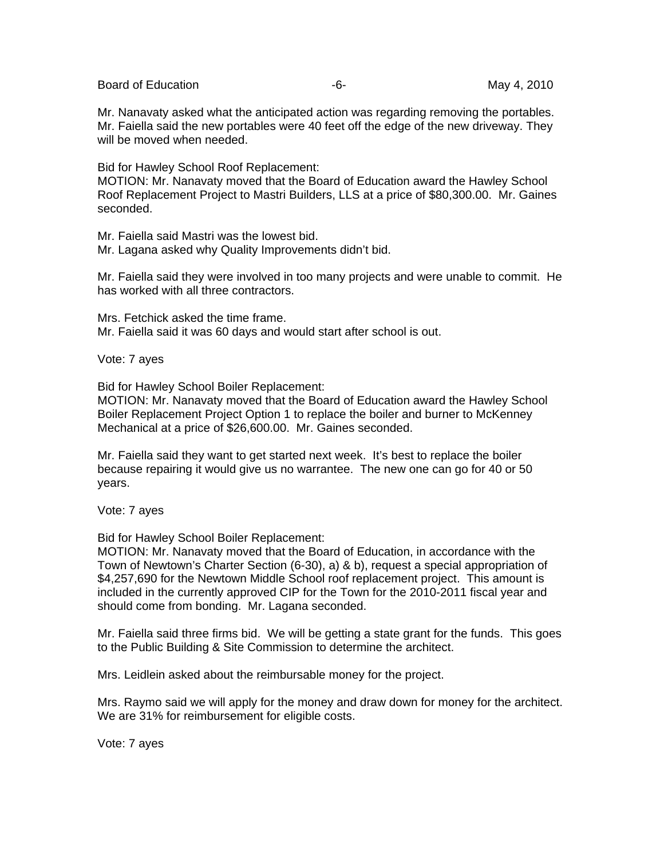Board of Education **Contract Contract Contract Contract Contract Contract Contract Contract Contract Contract Contract Contract Contract Contract Contract Contract Contract Contract Contract Contract Contract Contract Cont** 

Mr. Nanavaty asked what the anticipated action was regarding removing the portables. Mr. Faiella said the new portables were 40 feet off the edge of the new driveway. They will be moved when needed.

Bid for Hawley School Roof Replacement:

MOTION: Mr. Nanavaty moved that the Board of Education award the Hawley School Roof Replacement Project to Mastri Builders, LLS at a price of \$80,300.00. Mr. Gaines seconded.

Mr. Faiella said Mastri was the lowest bid.

Mr. Lagana asked why Quality Improvements didn't bid.

Mr. Faiella said they were involved in too many projects and were unable to commit. He has worked with all three contractors.

Mrs. Fetchick asked the time frame. Mr. Faiella said it was 60 days and would start after school is out.

Vote: 7 ayes

Bid for Hawley School Boiler Replacement:

MOTION: Mr. Nanavaty moved that the Board of Education award the Hawley School Boiler Replacement Project Option 1 to replace the boiler and burner to McKenney Mechanical at a price of \$26,600.00. Mr. Gaines seconded.

Mr. Faiella said they want to get started next week. It's best to replace the boiler because repairing it would give us no warrantee. The new one can go for 40 or 50 years.

Vote: 7 ayes

Bid for Hawley School Boiler Replacement:

MOTION: Mr. Nanavaty moved that the Board of Education, in accordance with the Town of Newtown's Charter Section (6-30), a) & b), request a special appropriation of \$4,257,690 for the Newtown Middle School roof replacement project. This amount is included in the currently approved CIP for the Town for the 2010-2011 fiscal year and should come from bonding. Mr. Lagana seconded.

Mr. Faiella said three firms bid. We will be getting a state grant for the funds. This goes to the Public Building & Site Commission to determine the architect.

Mrs. Leidlein asked about the reimbursable money for the project.

Mrs. Raymo said we will apply for the money and draw down for money for the architect. We are 31% for reimbursement for eligible costs.

Vote: 7 ayes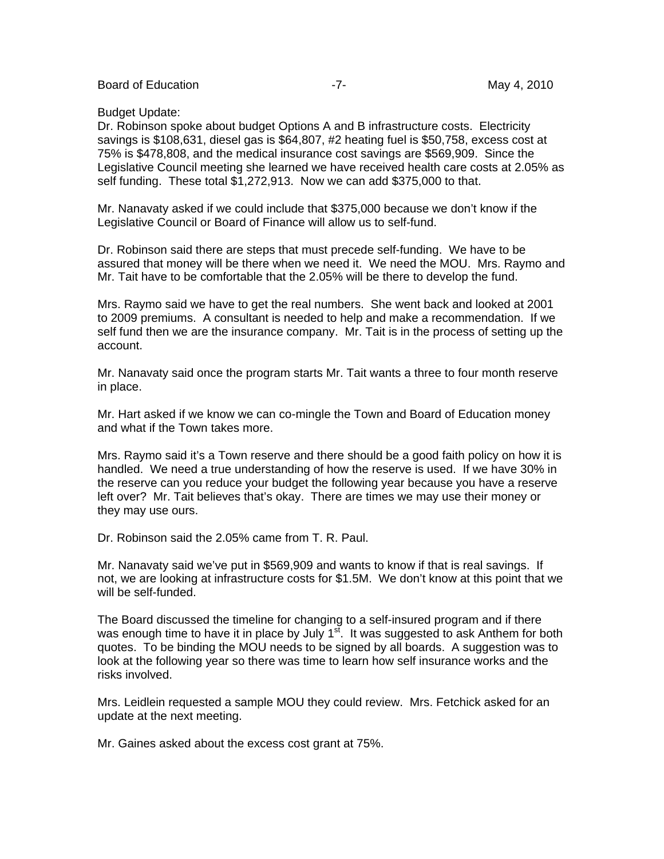Board of Education **-7-** Figure -7- May 4, 2010

#### Budget Update:

Dr. Robinson spoke about budget Options A and B infrastructure costs. Electricity savings is \$108,631, diesel gas is \$64,807, #2 heating fuel is \$50,758, excess cost at 75% is \$478,808, and the medical insurance cost savings are \$569,909. Since the Legislative Council meeting she learned we have received health care costs at 2.05% as self funding. These total \$1,272,913. Now we can add \$375,000 to that.

Mr. Nanavaty asked if we could include that \$375,000 because we don't know if the Legislative Council or Board of Finance will allow us to self-fund.

Dr. Robinson said there are steps that must precede self-funding. We have to be assured that money will be there when we need it. We need the MOU. Mrs. Raymo and Mr. Tait have to be comfortable that the 2.05% will be there to develop the fund.

Mrs. Raymo said we have to get the real numbers. She went back and looked at 2001 to 2009 premiums. A consultant is needed to help and make a recommendation. If we self fund then we are the insurance company. Mr. Tait is in the process of setting up the account.

Mr. Nanavaty said once the program starts Mr. Tait wants a three to four month reserve in place.

Mr. Hart asked if we know we can co-mingle the Town and Board of Education money and what if the Town takes more.

Mrs. Raymo said it's a Town reserve and there should be a good faith policy on how it is handled. We need a true understanding of how the reserve is used. If we have 30% in the reserve can you reduce your budget the following year because you have a reserve left over? Mr. Tait believes that's okay. There are times we may use their money or they may use ours.

Dr. Robinson said the 2.05% came from T. R. Paul.

Mr. Nanavaty said we've put in \$569,909 and wants to know if that is real savings. If not, we are looking at infrastructure costs for \$1.5M. We don't know at this point that we will be self-funded.

The Board discussed the timeline for changing to a self-insured program and if there was enough time to have it in place by July  $1<sup>st</sup>$ . It was suggested to ask Anthem for both quotes. To be binding the MOU needs to be signed by all boards. A suggestion was to look at the following year so there was time to learn how self insurance works and the risks involved.

Mrs. Leidlein requested a sample MOU they could review. Mrs. Fetchick asked for an update at the next meeting.

Mr. Gaines asked about the excess cost grant at 75%.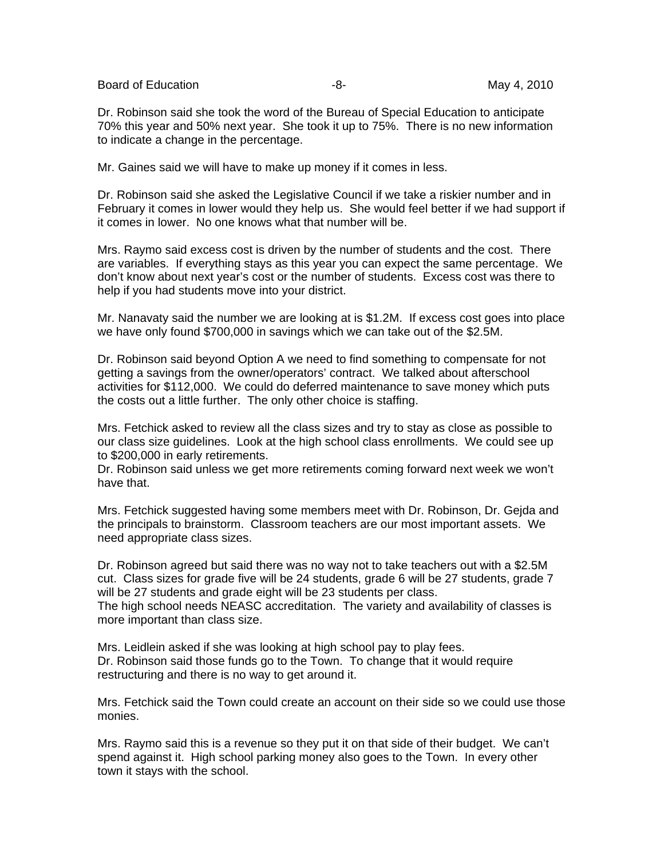Board of Education  $-8$ - Board of Education  $-8$ -

Dr. Robinson said she took the word of the Bureau of Special Education to anticipate 70% this year and 50% next year. She took it up to 75%. There is no new information to indicate a change in the percentage.

Mr. Gaines said we will have to make up money if it comes in less.

Dr. Robinson said she asked the Legislative Council if we take a riskier number and in February it comes in lower would they help us. She would feel better if we had support if it comes in lower. No one knows what that number will be.

Mrs. Raymo said excess cost is driven by the number of students and the cost. There are variables. If everything stays as this year you can expect the same percentage. We don't know about next year's cost or the number of students. Excess cost was there to help if you had students move into your district.

Mr. Nanavaty said the number we are looking at is \$1.2M. If excess cost goes into place we have only found \$700,000 in savings which we can take out of the \$2.5M.

Dr. Robinson said beyond Option A we need to find something to compensate for not getting a savings from the owner/operators' contract. We talked about afterschool activities for \$112,000. We could do deferred maintenance to save money which puts the costs out a little further. The only other choice is staffing.

Mrs. Fetchick asked to review all the class sizes and try to stay as close as possible to our class size guidelines. Look at the high school class enrollments. We could see up to \$200,000 in early retirements.

Dr. Robinson said unless we get more retirements coming forward next week we won't have that.

Mrs. Fetchick suggested having some members meet with Dr. Robinson, Dr. Gejda and the principals to brainstorm. Classroom teachers are our most important assets. We need appropriate class sizes.

Dr. Robinson agreed but said there was no way not to take teachers out with a \$2.5M cut. Class sizes for grade five will be 24 students, grade 6 will be 27 students, grade 7 will be 27 students and grade eight will be 23 students per class. The high school needs NEASC accreditation. The variety and availability of classes is more important than class size.

Mrs. Leidlein asked if she was looking at high school pay to play fees. Dr. Robinson said those funds go to the Town. To change that it would require restructuring and there is no way to get around it.

Mrs. Fetchick said the Town could create an account on their side so we could use those monies.

Mrs. Raymo said this is a revenue so they put it on that side of their budget. We can't spend against it. High school parking money also goes to the Town. In every other town it stays with the school.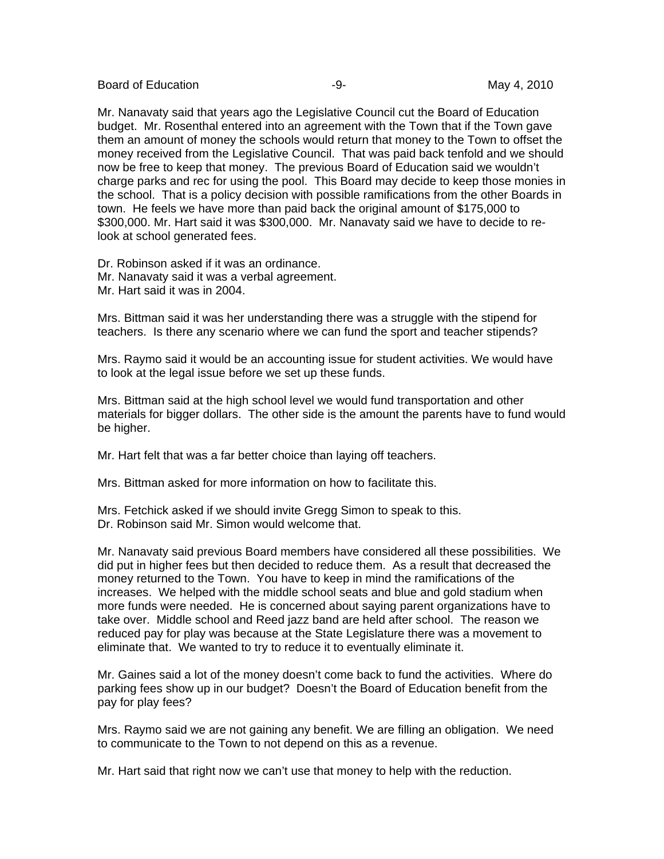Board of Education **-9-** Figure 2010 **May 4, 2010** 

Mr. Nanavaty said that years ago the Legislative Council cut the Board of Education budget. Mr. Rosenthal entered into an agreement with the Town that if the Town gave them an amount of money the schools would return that money to the Town to offset the money received from the Legislative Council. That was paid back tenfold and we should now be free to keep that money. The previous Board of Education said we wouldn't charge parks and rec for using the pool. This Board may decide to keep those monies in the school. That is a policy decision with possible ramifications from the other Boards in town. He feels we have more than paid back the original amount of \$175,000 to \$300,000. Mr. Hart said it was \$300,000. Mr. Nanavaty said we have to decide to relook at school generated fees.

Dr. Robinson asked if it was an ordinance. Mr. Nanavaty said it was a verbal agreement. Mr. Hart said it was in 2004.

Mrs. Bittman said it was her understanding there was a struggle with the stipend for teachers. Is there any scenario where we can fund the sport and teacher stipends?

Mrs. Raymo said it would be an accounting issue for student activities. We would have to look at the legal issue before we set up these funds.

Mrs. Bittman said at the high school level we would fund transportation and other materials for bigger dollars. The other side is the amount the parents have to fund would be higher.

Mr. Hart felt that was a far better choice than laying off teachers.

Mrs. Bittman asked for more information on how to facilitate this.

Mrs. Fetchick asked if we should invite Gregg Simon to speak to this. Dr. Robinson said Mr. Simon would welcome that.

Mr. Nanavaty said previous Board members have considered all these possibilities. We did put in higher fees but then decided to reduce them. As a result that decreased the money returned to the Town. You have to keep in mind the ramifications of the increases. We helped with the middle school seats and blue and gold stadium when more funds were needed. He is concerned about saying parent organizations have to take over. Middle school and Reed jazz band are held after school. The reason we reduced pay for play was because at the State Legislature there was a movement to eliminate that. We wanted to try to reduce it to eventually eliminate it.

Mr. Gaines said a lot of the money doesn't come back to fund the activities. Where do parking fees show up in our budget? Doesn't the Board of Education benefit from the pay for play fees?

Mrs. Raymo said we are not gaining any benefit. We are filling an obligation. We need to communicate to the Town to not depend on this as a revenue.

Mr. Hart said that right now we can't use that money to help with the reduction.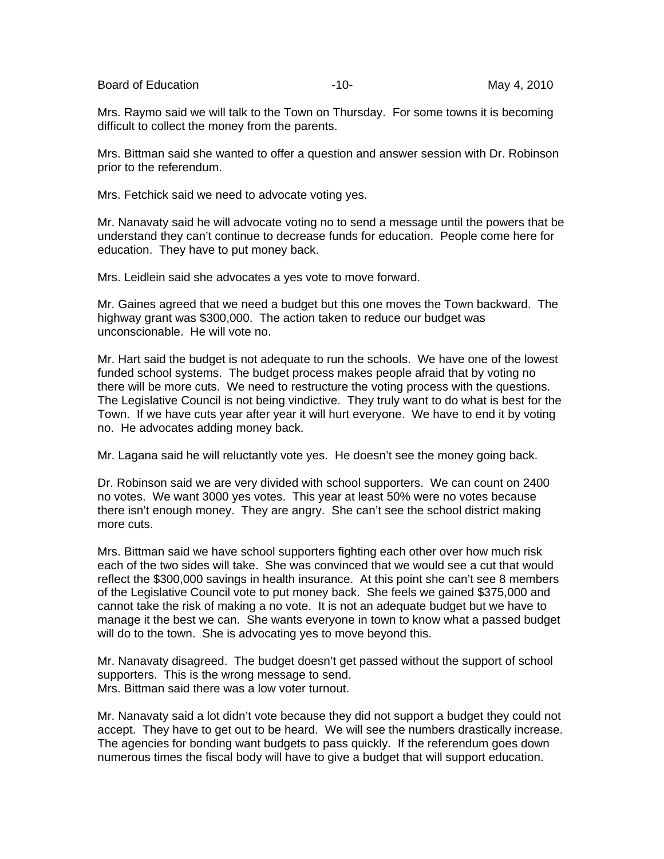Board of Education **Contract Contract Contract Contract Contract Contract Contract Contract Contract Contract Contract Contract Contract Contract Contract Contract Contract Contract Contract Contract Contract Contract Cont** 

Mrs. Raymo said we will talk to the Town on Thursday. For some towns it is becoming difficult to collect the money from the parents.

Mrs. Bittman said she wanted to offer a question and answer session with Dr. Robinson prior to the referendum.

Mrs. Fetchick said we need to advocate voting yes.

Mr. Nanavaty said he will advocate voting no to send a message until the powers that be understand they can't continue to decrease funds for education. People come here for education. They have to put money back.

Mrs. Leidlein said she advocates a yes vote to move forward.

Mr. Gaines agreed that we need a budget but this one moves the Town backward. The highway grant was \$300,000. The action taken to reduce our budget was unconscionable. He will vote no.

Mr. Hart said the budget is not adequate to run the schools. We have one of the lowest funded school systems. The budget process makes people afraid that by voting no there will be more cuts. We need to restructure the voting process with the questions. The Legislative Council is not being vindictive. They truly want to do what is best for the Town. If we have cuts year after year it will hurt everyone. We have to end it by voting no. He advocates adding money back.

Mr. Lagana said he will reluctantly vote yes. He doesn't see the money going back.

Dr. Robinson said we are very divided with school supporters. We can count on 2400 no votes. We want 3000 yes votes. This year at least 50% were no votes because there isn't enough money. They are angry. She can't see the school district making more cuts.

Mrs. Bittman said we have school supporters fighting each other over how much risk each of the two sides will take. She was convinced that we would see a cut that would reflect the \$300,000 savings in health insurance. At this point she can't see 8 members of the Legislative Council vote to put money back. She feels we gained \$375,000 and cannot take the risk of making a no vote. It is not an adequate budget but we have to manage it the best we can. She wants everyone in town to know what a passed budget will do to the town. She is advocating yes to move beyond this.

Mr. Nanavaty disagreed. The budget doesn't get passed without the support of school supporters. This is the wrong message to send. Mrs. Bittman said there was a low voter turnout.

Mr. Nanavaty said a lot didn't vote because they did not support a budget they could not accept. They have to get out to be heard. We will see the numbers drastically increase. The agencies for bonding want budgets to pass quickly. If the referendum goes down numerous times the fiscal body will have to give a budget that will support education.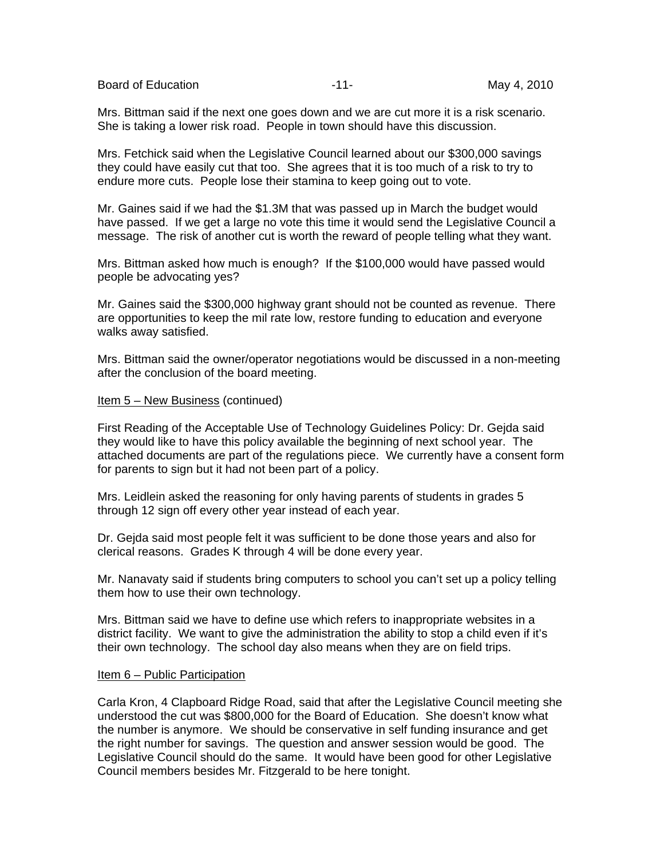Board of Education **Container Container Container Container Container Container Container May 4, 2010** 

Mrs. Bittman said if the next one goes down and we are cut more it is a risk scenario. She is taking a lower risk road. People in town should have this discussion.

Mrs. Fetchick said when the Legislative Council learned about our \$300,000 savings they could have easily cut that too. She agrees that it is too much of a risk to try to endure more cuts. People lose their stamina to keep going out to vote.

Mr. Gaines said if we had the \$1.3M that was passed up in March the budget would have passed. If we get a large no vote this time it would send the Legislative Council a message. The risk of another cut is worth the reward of people telling what they want.

Mrs. Bittman asked how much is enough? If the \$100,000 would have passed would people be advocating yes?

Mr. Gaines said the \$300,000 highway grant should not be counted as revenue. There are opportunities to keep the mil rate low, restore funding to education and everyone walks away satisfied.

Mrs. Bittman said the owner/operator negotiations would be discussed in a non-meeting after the conclusion of the board meeting.

#### Item 5 – New Business (continued)

First Reading of the Acceptable Use of Technology Guidelines Policy: Dr. Gejda said they would like to have this policy available the beginning of next school year. The attached documents are part of the regulations piece. We currently have a consent form for parents to sign but it had not been part of a policy.

Mrs. Leidlein asked the reasoning for only having parents of students in grades 5 through 12 sign off every other year instead of each year.

Dr. Gejda said most people felt it was sufficient to be done those years and also for clerical reasons. Grades K through 4 will be done every year.

Mr. Nanavaty said if students bring computers to school you can't set up a policy telling them how to use their own technology.

Mrs. Bittman said we have to define use which refers to inappropriate websites in a district facility. We want to give the administration the ability to stop a child even if it's their own technology. The school day also means when they are on field trips.

#### Item 6 – Public Participation

Carla Kron, 4 Clapboard Ridge Road, said that after the Legislative Council meeting she understood the cut was \$800,000 for the Board of Education. She doesn't know what the number is anymore. We should be conservative in self funding insurance and get the right number for savings. The question and answer session would be good. The Legislative Council should do the same. It would have been good for other Legislative Council members besides Mr. Fitzgerald to be here tonight.